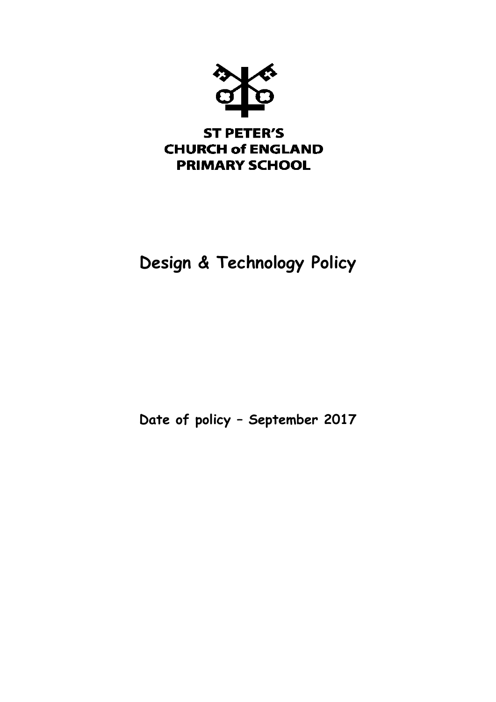

# **Design & Technology Policy**

**Date of policy – September 2017**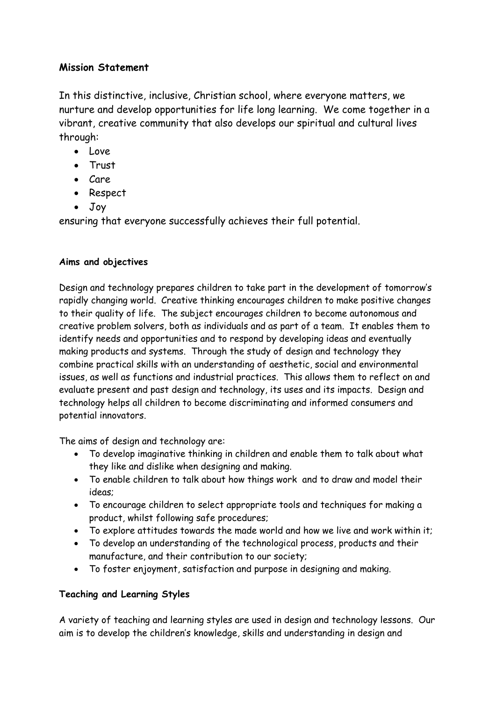# **Mission Statement**

In this distinctive, inclusive, Christian school, where everyone matters, we nurture and develop opportunities for life long learning. We come together in a vibrant, creative community that also develops our spiritual and cultural lives through:

- Love
- Trust
- $\bullet$  Care
- Respect
- Joy

ensuring that everyone successfully achieves their full potential.

## **Aims and objectives**

Design and technology prepares children to take part in the development of tomorrow's rapidly changing world. Creative thinking encourages children to make positive changes to their quality of life. The subject encourages children to become autonomous and creative problem solvers, both as individuals and as part of a team. It enables them to identify needs and opportunities and to respond by developing ideas and eventually making products and systems. Through the study of design and technology they combine practical skills with an understanding of aesthetic, social and environmental issues, as well as functions and industrial practices. This allows them to reflect on and evaluate present and past design and technology, its uses and its impacts. Design and technology helps all children to become discriminating and informed consumers and potential innovators.

The aims of design and technology are:

- To develop imaginative thinking in children and enable them to talk about what they like and dislike when designing and making.
- To enable children to talk about how things work and to draw and model their ideas;
- To encourage children to select appropriate tools and techniques for making a product, whilst following safe procedures;
- To explore attitudes towards the made world and how we live and work within it;
- To develop an understanding of the technological process, products and their manufacture, and their contribution to our society;
- To foster enjoyment, satisfaction and purpose in designing and making.

# **Teaching and Learning Styles**

A variety of teaching and learning styles are used in design and technology lessons. Our aim is to develop the children's knowledge, skills and understanding in design and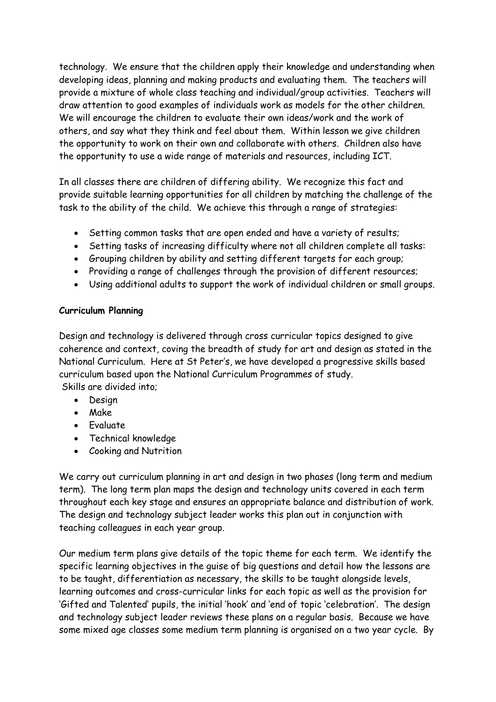technology. We ensure that the children apply their knowledge and understanding when developing ideas, planning and making products and evaluating them. The teachers will provide a mixture of whole class teaching and individual/group activities. Teachers will draw attention to good examples of individuals work as models for the other children. We will encourage the children to evaluate their own ideas/work and the work of others, and say what they think and feel about them. Within lesson we give children the opportunity to work on their own and collaborate with others. Children also have the opportunity to use a wide range of materials and resources, including ICT.

In all classes there are children of differing ability. We recognize this fact and provide suitable learning opportunities for all children by matching the challenge of the task to the ability of the child. We achieve this through a range of strategies:

- Setting common tasks that are open ended and have a variety of results;
- Setting tasks of increasing difficulty where not all children complete all tasks:
- Grouping children by ability and setting different targets for each group;
- Providing a range of challenges through the provision of different resources;
- Using additional adults to support the work of individual children or small groups.

#### **Curriculum Planning**

Design and technology is delivered through cross curricular topics designed to give coherence and context, coving the breadth of study for art and design as stated in the National Curriculum. Here at St Peter's, we have developed a progressive skills based curriculum based upon the National Curriculum Programmes of study. Skills are divided into;

- Desian
- Make
- Fvaluate
- Technical knowledge
- Cooking and Nutrition

We carry out curriculum planning in art and design in two phases (long term and medium term). The long term plan maps the design and technology units covered in each term throughout each key stage and ensures an appropriate balance and distribution of work. The design and technology subject leader works this plan out in conjunction with teaching colleagues in each year group.

Our medium term plans give details of the topic theme for each term. We identify the specific learning objectives in the guise of big questions and detail how the lessons are to be taught, differentiation as necessary, the skills to be taught alongside levels, learning outcomes and cross-curricular links for each topic as well as the provision for 'Gifted and Talented' pupils, the initial 'hook' and 'end of topic 'celebration'. The design and technology subject leader reviews these plans on a regular basis. Because we have some mixed age classes some medium term planning is organised on a two year cycle. By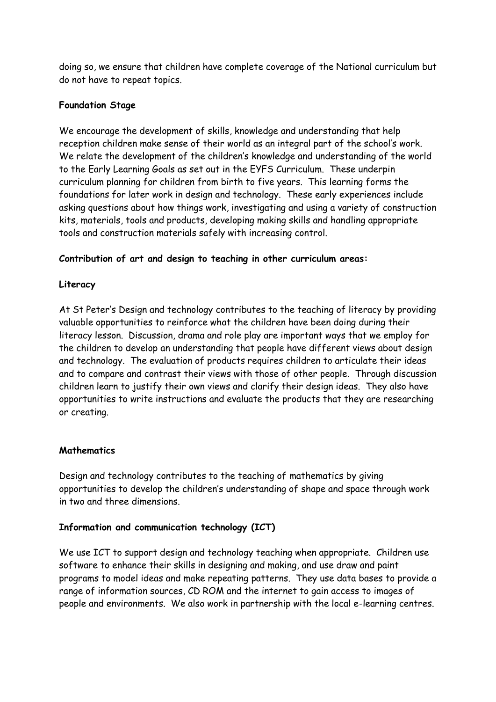doing so, we ensure that children have complete coverage of the National curriculum but do not have to repeat topics.

## **Foundation Stage**

We encourage the development of skills, knowledge and understanding that help reception children make sense of their world as an integral part of the school's work. We relate the development of the children's knowledge and understanding of the world to the Early Learning Goals as set out in the EYFS Curriculum. These underpin curriculum planning for children from birth to five years. This learning forms the foundations for later work in design and technology. These early experiences include asking questions about how things work, investigating and using a variety of construction kits, materials, tools and products, developing making skills and handling appropriate tools and construction materials safely with increasing control.

## **Contribution of art and design to teaching in other curriculum areas:**

## **Literacy**

At St Peter's Design and technology contributes to the teaching of literacy by providing valuable opportunities to reinforce what the children have been doing during their literacy lesson. Discussion, drama and role play are important ways that we employ for the children to develop an understanding that people have different views about design and technology. The evaluation of products requires children to articulate their ideas and to compare and contrast their views with those of other people. Through discussion children learn to justify their own views and clarify their design ideas. They also have opportunities to write instructions and evaluate the products that they are researching or creating.

#### **Mathematics**

Design and technology contributes to the teaching of mathematics by giving opportunities to develop the children's understanding of shape and space through work in two and three dimensions.

#### **Information and communication technology (ICT)**

We use ICT to support design and technology teaching when appropriate. Children use software to enhance their skills in designing and making, and use draw and paint programs to model ideas and make repeating patterns. They use data bases to provide a range of information sources, CD ROM and the internet to gain access to images of people and environments. We also work in partnership with the local e-learning centres.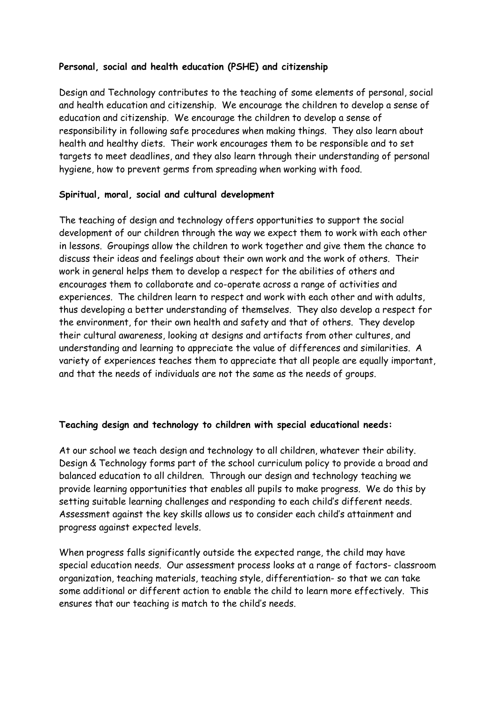#### **Personal, social and health education (PSHE) and citizenship**

Design and Technology contributes to the teaching of some elements of personal, social and health education and citizenship. We encourage the children to develop a sense of education and citizenship. We encourage the children to develop a sense of responsibility in following safe procedures when making things. They also learn about health and healthy diets. Their work encourages them to be responsible and to set targets to meet deadlines, and they also learn through their understanding of personal hygiene, how to prevent germs from spreading when working with food.

#### **Spiritual, moral, social and cultural development**

The teaching of design and technology offers opportunities to support the social development of our children through the way we expect them to work with each other in lessons. Groupings allow the children to work together and give them the chance to discuss their ideas and feelings about their own work and the work of others. Their work in general helps them to develop a respect for the abilities of others and encourages them to collaborate and co-operate across a range of activities and experiences. The children learn to respect and work with each other and with adults, thus developing a better understanding of themselves. They also develop a respect for the environment, for their own health and safety and that of others. They develop their cultural awareness, looking at designs and artifacts from other cultures, and understanding and learning to appreciate the value of differences and similarities. A variety of experiences teaches them to appreciate that all people are equally important, and that the needs of individuals are not the same as the needs of groups.

#### **Teaching design and technology to children with special educational needs:**

At our school we teach design and technology to all children, whatever their ability. Design & Technology forms part of the school curriculum policy to provide a broad and balanced education to all children. Through our design and technology teaching we provide learning opportunities that enables all pupils to make progress. We do this by setting suitable learning challenges and responding to each child's different needs. Assessment against the key skills allows us to consider each child's attainment and progress against expected levels.

When progress falls significantly outside the expected range, the child may have special education needs. Our assessment process looks at a range of factors- classroom organization, teaching materials, teaching style, differentiation- so that we can take some additional or different action to enable the child to learn more effectively. This ensures that our teaching is match to the child's needs.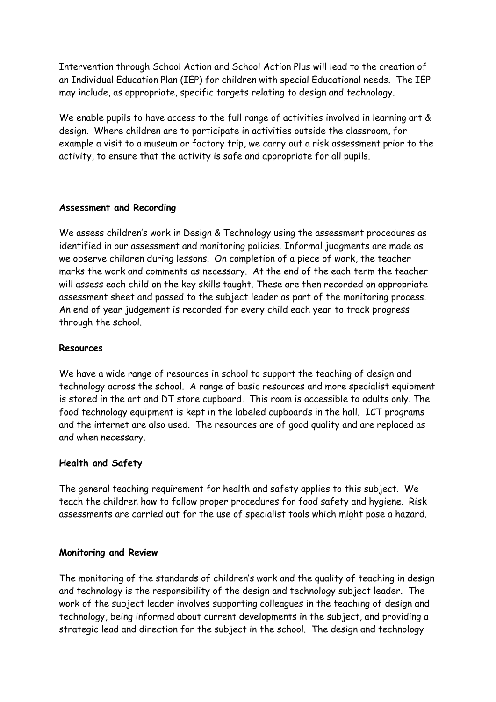Intervention through School Action and School Action Plus will lead to the creation of an Individual Education Plan (IEP) for children with special Educational needs. The IEP may include, as appropriate, specific targets relating to design and technology.

We enable pupils to have access to the full range of activities involved in learning art & design. Where children are to participate in activities outside the classroom, for example a visit to a museum or factory trip, we carry out a risk assessment prior to the activity, to ensure that the activity is safe and appropriate for all pupils.

#### **Assessment and Recording**

We assess children's work in Design & Technology using the assessment procedures as identified in our assessment and monitoring policies. Informal judgments are made as we observe children during lessons. On completion of a piece of work, the teacher marks the work and comments as necessary. At the end of the each term the teacher will assess each child on the key skills taught. These are then recorded on appropriate assessment sheet and passed to the subject leader as part of the monitoring process. An end of year judgement is recorded for every child each year to track progress through the school.

#### **Resources**

We have a wide range of resources in school to support the teaching of design and technology across the school. A range of basic resources and more specialist equipment is stored in the art and DT store cupboard. This room is accessible to adults only. The food technology equipment is kept in the labeled cupboards in the hall. ICT programs and the internet are also used. The resources are of good quality and are replaced as and when necessary.

#### **Health and Safety**

The general teaching requirement for health and safety applies to this subject. We teach the children how to follow proper procedures for food safety and hygiene. Risk assessments are carried out for the use of specialist tools which might pose a hazard.

#### **Monitoring and Review**

The monitoring of the standards of children's work and the quality of teaching in design and technology is the responsibility of the design and technology subject leader. The work of the subject leader involves supporting colleagues in the teaching of design and technology, being informed about current developments in the subject, and providing a strategic lead and direction for the subject in the school. The design and technology